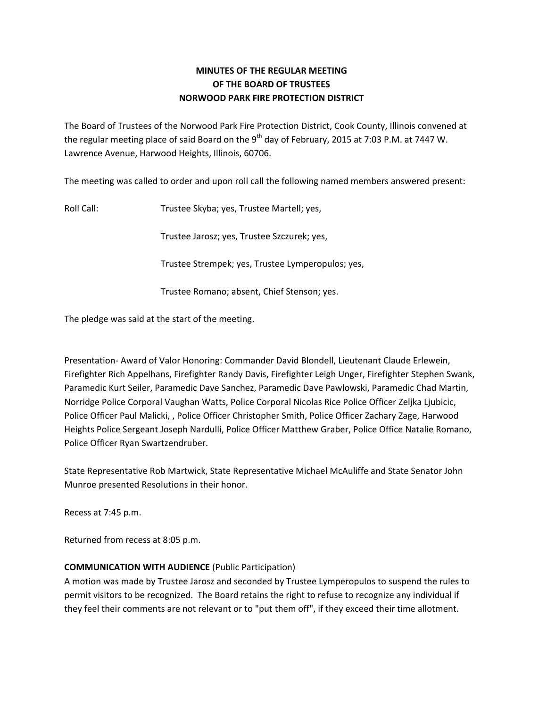# **MINUTES OF THE REGULAR MEETING OF THE BOARD OF TRUSTEES NORWOOD PARK FIRE PROTECTION DISTRICT**

The Board of Trustees of the Norwood Park Fire Protection District, Cook County, Illinois convened at the regular meeting place of said Board on the 9<sup>th</sup> day of February, 2015 at 7:03 P.M. at 7447 W. Lawrence Avenue, Harwood Heights, Illinois, 60706.

The meeting was called to order and upon roll call the following named members answered present:

Roll Call: Trustee Skyba; yes, Trustee Martell; yes,

Trustee Jarosz; yes, Trustee Szczurek; yes,

Trustee Strempek; yes, Trustee Lymperopulos; yes,

Trustee Romano; absent, Chief Stenson; yes.

The pledge was said at the start of the meeting.

Presentation‐ Award of Valor Honoring: Commander David Blondell, Lieutenant Claude Erlewein, Firefighter Rich Appelhans, Firefighter Randy Davis, Firefighter Leigh Unger, Firefighter Stephen Swank, Paramedic Kurt Seiler, Paramedic Dave Sanchez, Paramedic Dave Pawlowski, Paramedic Chad Martin, Norridge Police Corporal Vaughan Watts, Police Corporal Nicolas Rice Police Officer Zeljka Ljubicic, Police Officer Paul Malicki, , Police Officer Christopher Smith, Police Officer Zachary Zage, Harwood Heights Police Sergeant Joseph Nardulli, Police Officer Matthew Graber, Police Office Natalie Romano, Police Officer Ryan Swartzendruber.

State Representative Rob Martwick, State Representative Michael McAuliffe and State Senator John Munroe presented Resolutions in their honor.

Recess at 7:45 p.m.

Returned from recess at 8:05 p.m.

## **COMMUNICATION WITH AUDIENCE** (Public Participation)

A motion was made by Trustee Jarosz and seconded by Trustee Lymperopulos to suspend the rules to permit visitors to be recognized. The Board retains the right to refuse to recognize any individual if they feel their comments are not relevant or to "put them off", if they exceed their time allotment.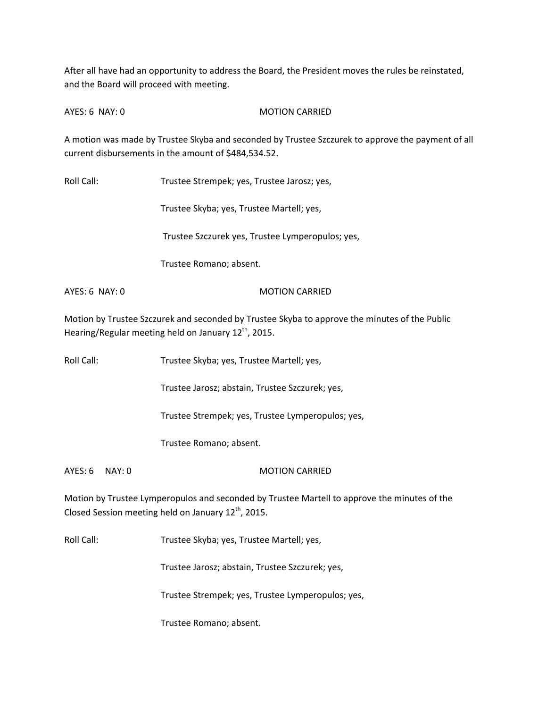After all have had an opportunity to address the Board, the President moves the rules be reinstated, and the Board will proceed with meeting.

AYES: 6 NAY: 0 MOTION CARRIED

A motion was made by Trustee Skyba and seconded by Trustee Szczurek to approve the payment of all current disbursements in the amount of \$484,534.52.

Roll Call: Trustee Strempek; yes, Trustee Jarosz; yes,

Trustee Skyba; yes, Trustee Martell; yes,

Trustee Szczurek yes, Trustee Lymperopulos; yes,

Trustee Romano; absent.

AYES: 6 NAY: 0 MOTION CARRIED

Motion by Trustee Szczurek and seconded by Trustee Skyba to approve the minutes of the Public Hearing/Regular meeting held on January 12<sup>th</sup>, 2015.

Roll Call: Trustee Skyba; yes, Trustee Martell; yes,

Trustee Jarosz; abstain, Trustee Szczurek; yes,

Trustee Strempek; yes, Trustee Lymperopulos; yes,

Trustee Romano; absent.

AYES: 6 NAY: 0 MOTION CARRIED

Motion by Trustee Lymperopulos and seconded by Trustee Martell to approve the minutes of the Closed Session meeting held on January  $12^{th}$ , 2015.

Roll Call: Trustee Skyba; yes, Trustee Martell; yes,

Trustee Jarosz; abstain, Trustee Szczurek; yes,

Trustee Strempek; yes, Trustee Lymperopulos; yes,

Trustee Romano; absent.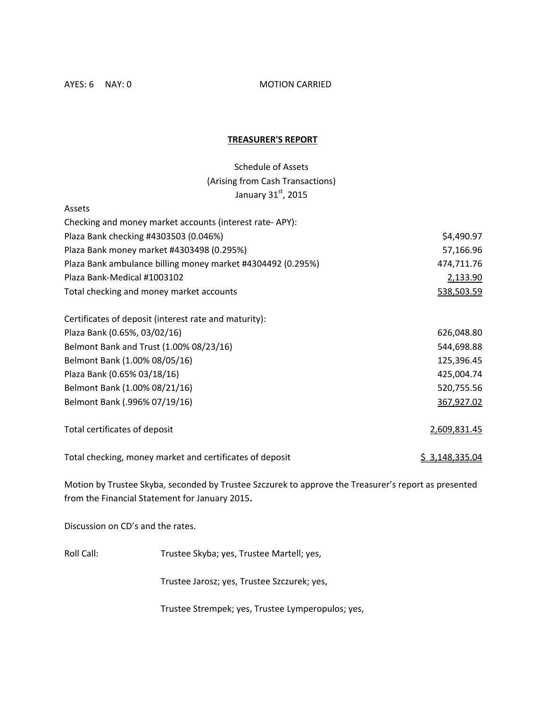AYES: 6 NAY: 0 MOTION CARRIED

## **TREASURER'S REPORT**

Schedule of Assets (Arising from Cash Transactions) January 31 $^{\rm st}$ , 2015

| Assets                                                      |              |
|-------------------------------------------------------------|--------------|
| Checking and money market accounts (interest rate-APY):     |              |
| Plaza Bank checking #4303503 (0.046%)                       | \$4,490.97   |
| Plaza Bank money market #4303498 (0.295%)                   | 57,166.96    |
| Plaza Bank ambulance billing money market #4304492 (0.295%) | 474,711.76   |
| Plaza Bank-Medical #1003102                                 | 2,133.90     |
| Total checking and money market accounts                    | 538,503.59   |
| Certificates of deposit (interest rate and maturity):       |              |
| Plaza Bank (0.65%, 03/02/16)                                | 626,048.80   |
| Belmont Bank and Trust (1.00% 08/23/16)                     | 544,698.88   |
| Belmont Bank (1.00% 08/05/16)                               | 125,396.45   |
| Plaza Bank (0.65% 03/18/16)                                 | 425,004.74   |
| Belmont Bank (1.00% 08/21/16)                               | 520,755.56   |
| Belmont Bank (.996% 07/19/16)                               | 367,927.02   |
| Total certificates of deposit                               | 2,609,831.45 |

Total checking, money market and certificates of deposit  $\frac{2}{3}$ , \$ 3,148,335.04

Motion by Trustee Skyba, seconded by Trustee Szczurek to approve the Treasurer's report as presented from the Financial Statement for January 2015**.**

Discussion on CD's and the rates.

Roll Call: Trustee Skyba; yes, Trustee Martell; yes,

Trustee Jarosz; yes, Trustee Szczurek; yes,

Trustee Strempek; yes, Trustee Lymperopulos; yes,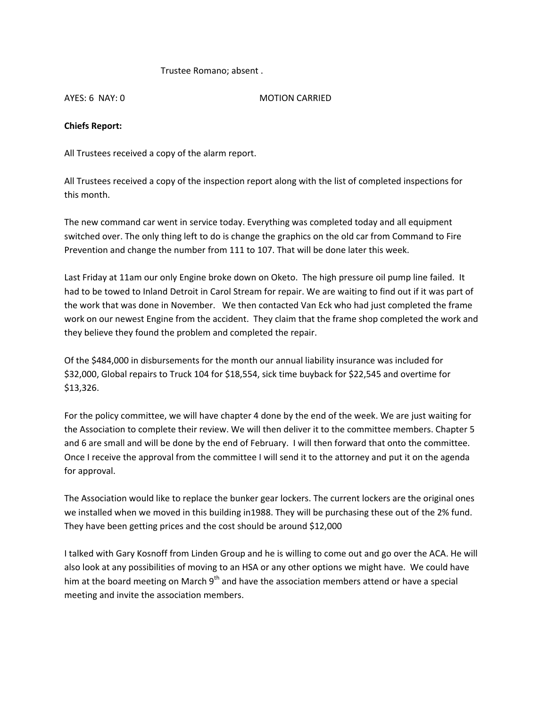## Trustee Romano; absent .

AYES: 6 NAY: 0 MOTION CARRIED

## **Chiefs Report:**

All Trustees received a copy of the alarm report.

All Trustees received a copy of the inspection report along with the list of completed inspections for this month.

The new command car went in service today. Everything was completed today and all equipment switched over. The only thing left to do is change the graphics on the old car from Command to Fire Prevention and change the number from 111 to 107. That will be done later this week.

Last Friday at 11am our only Engine broke down on Oketo. The high pressure oil pump line failed. It had to be towed to Inland Detroit in Carol Stream for repair. We are waiting to find out if it was part of the work that was done in November. We then contacted Van Eck who had just completed the frame work on our newest Engine from the accident. They claim that the frame shop completed the work and they believe they found the problem and completed the repair.

Of the \$484,000 in disbursements for the month our annual liability insurance was included for \$32,000, Global repairs to Truck 104 for \$18,554, sick time buyback for \$22,545 and overtime for \$13,326.

For the policy committee, we will have chapter 4 done by the end of the week. We are just waiting for the Association to complete their review. We will then deliver it to the committee members. Chapter 5 and 6 are small and will be done by the end of February. I will then forward that onto the committee. Once I receive the approval from the committee I will send it to the attorney and put it on the agenda for approval.

The Association would like to replace the bunker gear lockers. The current lockers are the original ones we installed when we moved in this building in1988. They will be purchasing these out of the 2% fund. They have been getting prices and the cost should be around \$12,000

I talked with Gary Kosnoff from Linden Group and he is willing to come out and go over the ACA. He will also look at any possibilities of moving to an HSA or any other options we might have. We could have him at the board meeting on March 9<sup>th</sup> and have the association members attend or have a special meeting and invite the association members.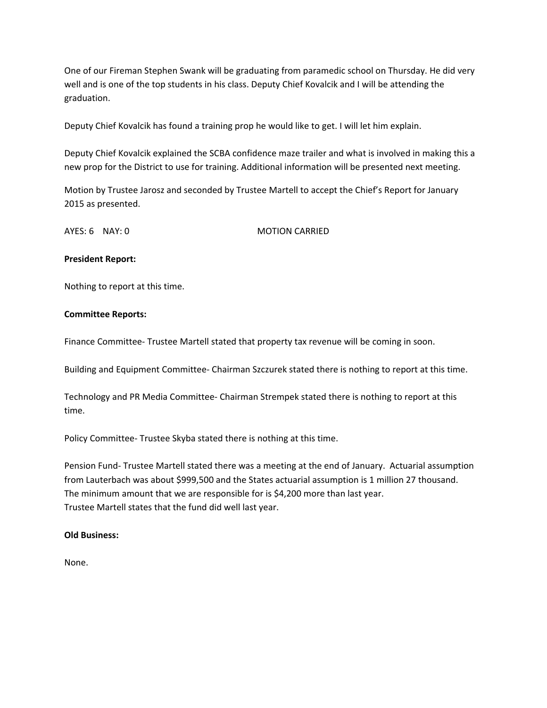One of our Fireman Stephen Swank will be graduating from paramedic school on Thursday. He did very well and is one of the top students in his class. Deputy Chief Kovalcik and I will be attending the graduation.

Deputy Chief Kovalcik has found a training prop he would like to get. I will let him explain.

Deputy Chief Kovalcik explained the SCBA confidence maze trailer and what is involved in making this a new prop for the District to use for training. Additional information will be presented next meeting.

Motion by Trustee Jarosz and seconded by Trustee Martell to accept the Chief's Report for January 2015 as presented.

AYES: 6 NAY: 0 MOTION CARRIED

## **President Report:**

Nothing to report at this time.

## **Committee Reports:**

Finance Committee‐ Trustee Martell stated that property tax revenue will be coming in soon.

Building and Equipment Committee‐ Chairman Szczurek stated there is nothing to report at this time.

Technology and PR Media Committee‐ Chairman Strempek stated there is nothing to report at this time.

Policy Committee‐ Trustee Skyba stated there is nothing at this time.

Pension Fund‐ Trustee Martell stated there was a meeting at the end of January. Actuarial assumption from Lauterbach was about \$999,500 and the States actuarial assumption is 1 million 27 thousand. The minimum amount that we are responsible for is \$4,200 more than last year. Trustee Martell states that the fund did well last year.

### **Old Business:**

None.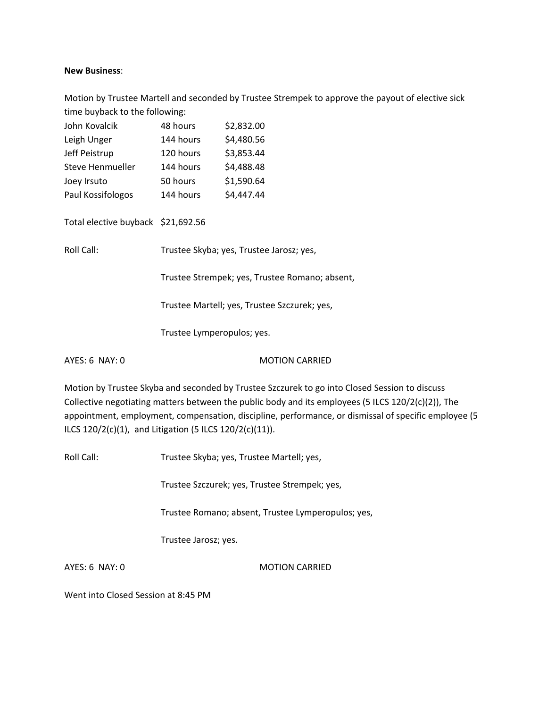### **New Business**:

Motion by Trustee Martell and seconded by Trustee Strempek to approve the payout of elective sick time buyback to the following:

| John Kovalcik                        | 48 hours  | \$2,832.00 |
|--------------------------------------|-----------|------------|
| Leigh Unger                          | 144 hours | \$4,480.56 |
| Jeff Peistrup                        | 120 hours | \$3,853.44 |
| Steve Henmueller                     | 144 hours | \$4,488.48 |
| Joey Irsuto                          | 50 hours  | \$1,590.64 |
| Paul Kossifologos                    | 144 hours | \$4,447.44 |
|                                      |           |            |
| Total elective huyback - \$21,602.56 |           |            |

Total elective buyback \$21,692.56

Roll Call: Trustee Skyba; yes, Trustee Jarosz; yes,

Trustee Strempek; yes, Trustee Romano; absent,

Trustee Martell; yes, Trustee Szczurek; yes,

Trustee Lymperopulos; yes.

AYES: 6 NAY: 0 MOTION CARRIED

Motion by Trustee Skyba and seconded by Trustee Szczurek to go into Closed Session to discuss Collective negotiating matters between the public body and its employees (5 ILCS 120/2(c)(2)), The appointment, employment, compensation, discipline, performance, or dismissal of specific employee (5 ILCS 120/2(c)(1), and Litigation (5 ILCS 120/2(c)(11)).

Roll Call: Trustee Skyba; yes, Trustee Martell; yes,

Trustee Szczurek; yes, Trustee Strempek; yes,

Trustee Romano; absent, Trustee Lymperopulos; yes,

Trustee Jarosz; yes.

AYES: 6 NAY: 0 MOTION CARRIED

Went into Closed Session at 8:45 PM